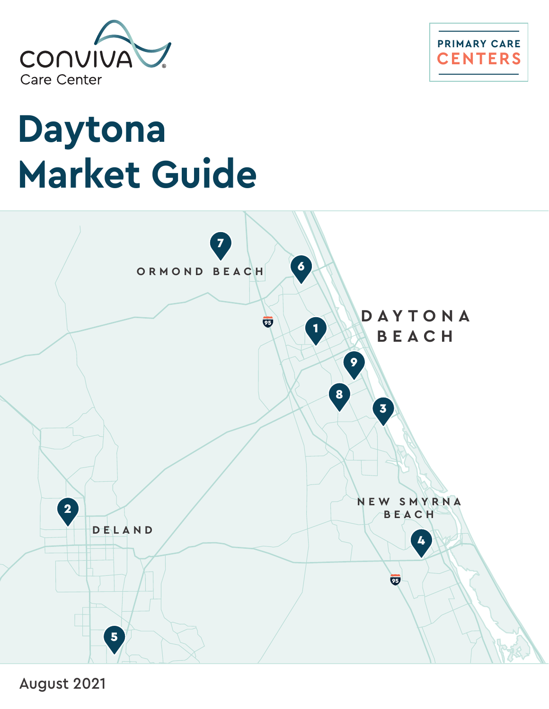



# **Daytona Market Guide**



August 2021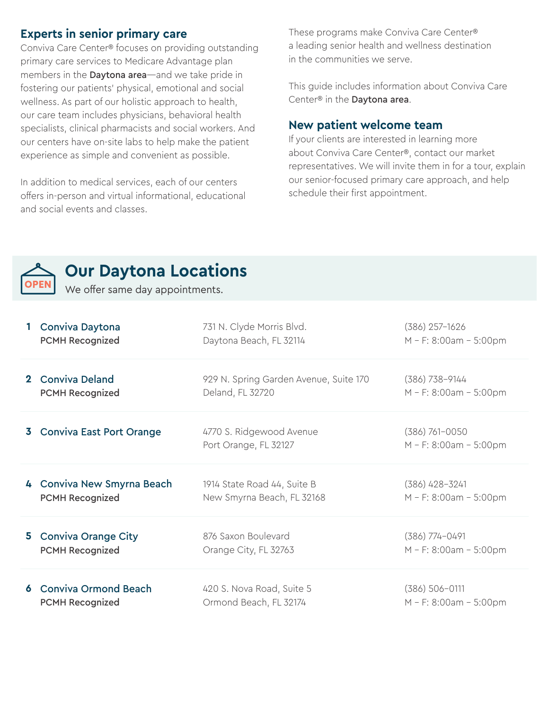## **Experts in senior primary care**

Conviva Care Center® focuses on providing outstanding primary care services to Medicare Advantage plan members in the **Daytona area**—and we take pride in fostering our patients' physical, emotional and social wellness. As part of our holistic approach to health, our care team includes physicians, behavioral health specialists, clinical pharmacists and social workers. And our centers have on-site labs to help make the patient experience as simple and convenient as possible.

In addition to medical services, each of our centers offers in-person and virtual informational, educational and social events and classes.

These programs make Conviva Care Center® a leading senior health and wellness destination in the communities we serve.

This guide includes information about Conviva Care Center® in the Daytona area.

### **New patient welcome team**

If your clients are interested in learning more about Conviva Care Center®, contact our market representatives. We will invite them in for a tour, explain our senior-focused primary care approach, and help schedule their first appointment.



## **Our Daytona Locations**

We offer same day appointments.

|                | Conviva Daytona                 | 731 N. Clyde Morris Blvd.                         | $(386)$ 257-1626                             |
|----------------|---------------------------------|---------------------------------------------------|----------------------------------------------|
|                | <b>PCMH Recognized</b>          | Daytona Beach, FL 32114                           | M - F: 8:00am - 5:00pm                       |
| $\mathbf{2}^-$ | <b>Conviva Deland</b>           | 929 N. Spring Garden Avenue, Suite 170            | $(386)$ 738-9144                             |
|                | <b>PCMH Recognized</b>          | Deland, FL 32720                                  | $M - F$ : 8:00am - 5:00pm                    |
|                | <b>Conviva East Port Orange</b> | 4770 S. Ridgewood Avenue<br>Port Orange, FL 32127 | $(386) 761 - 0050$<br>M - F: 8:00am - 5:00pm |
|                | 4 Conviva New Smyrna Beach      | 1914 State Road 44, Suite B                       | $(386)$ 428-3241                             |
|                | <b>PCMH Recognized</b>          | New Smyrna Beach, FL 32168                        | M - F: 8:00am - 5:00pm                       |
| 5.             | <b>Conviva Orange City</b>      | 876 Saxon Boulevard                               | $(386)$ 774-0491                             |
|                | <b>PCMH Recognized</b>          | Orange City, FL 32763                             | M - F: 8:00am - 5:00pm                       |
|                | <b>Conviva Ormond Beach</b>     | 420 S. Nova Road, Suite 5                         | $(386) 506 - 0111$                           |
|                | <b>PCMH Recognized</b>          | Ormond Beach, FL 32174                            | M - F: 8:00am - 5:00pm                       |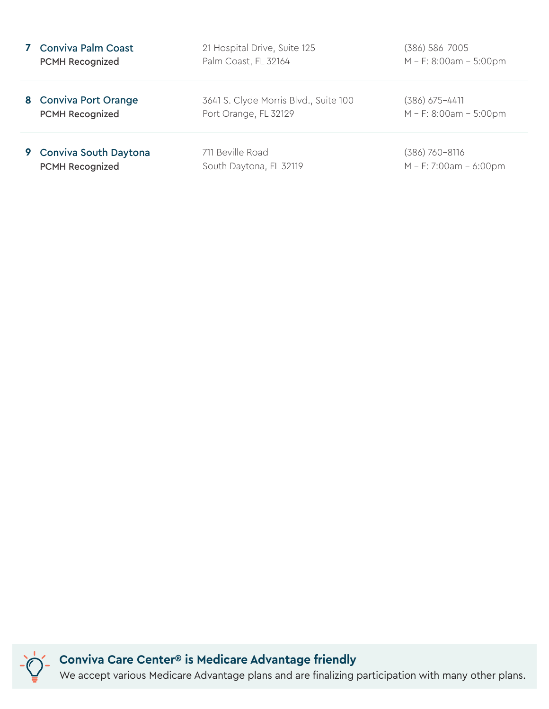| <b>Conviva Palm Coast</b> | 21 Hospital Drive, Suite 125          | (386) 586-7005            |
|---------------------------|---------------------------------------|---------------------------|
| <b>PCMH Recognized</b>    | Palm Coast, FL 32164                  | $M - F$ : 8:00am - 5:00pm |
| 8 Conviva Port Orange     | 3641 S. Clyde Morris Blvd., Suite 100 | $(386)$ 675-4411          |
| <b>PCMH Recognized</b>    | Port Orange, FL 32129                 | $M - F$ : 8:00am - 5:00pm |
| 9 Conviva South Daytona   | 711 Beville Road                      | (386) 760-8116            |
| <b>PCMH Recognized</b>    | South Daytona, FL 32119               | $M - F$ : 7:00am - 6:00pm |

**Conviva Care Center® is Medicare Advantage friendly** We accept various Medicare Advantage plans and are finalizing participation with many other plans.